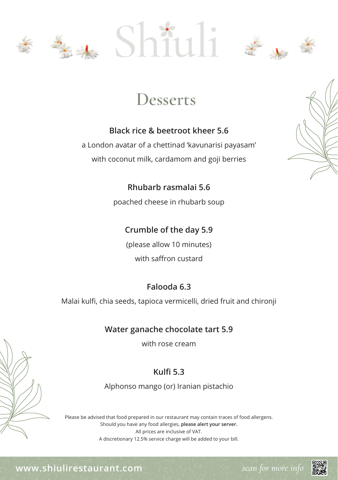





#### **Black rice & beetroot kheer 5.6**

a London avatar of a chettinad 'kavunarisi payasam' with coconut milk, cardamom and goji berries



**Rhubarb rasmalai 5.6** poached cheese in rhubarb soup

#### **Crumble of the day 5.9**

(please allow 10 minutes) with saffron custard

#### **Falooda 6.3**

Malai kulfi, chia seeds, tapioca vermicelli, dried fruit and chironji

#### **Water ganache chocolate tart 5.9**

with rose cream

### **Kulfi 5.3**

Alphonso mango (or) Iranian pistachio

Please be advised that food prepared in our restaurant may contain traces of food allergens. Should you have any food allergies, **please alert your server.** All prices are inclusive of VAT. A discretionary 12.5% service charge will be added to your bill.

**www.shiulirestaurant.com** *scan for more info*